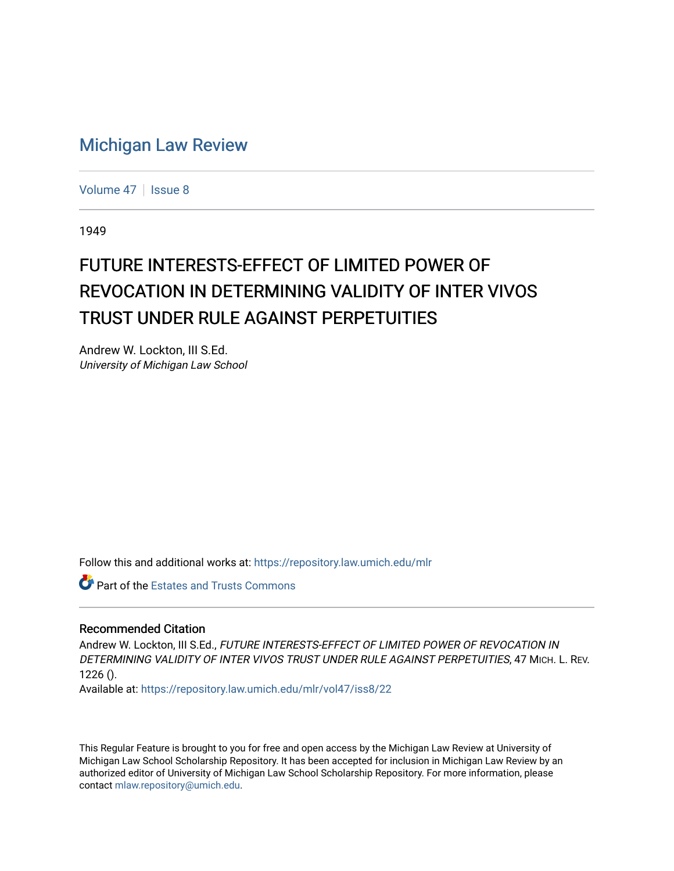## [Michigan Law Review](https://repository.law.umich.edu/mlr)

[Volume 47](https://repository.law.umich.edu/mlr/vol47) | [Issue 8](https://repository.law.umich.edu/mlr/vol47/iss8)

1949

## FUTURE INTERESTS-EFFECT OF LIMITED POWER OF REVOCATION IN DETERMINING VALIDITY OF INTER VIVOS TRUST UNDER RULE AGAINST PERPETUITIES

Andrew W. Lockton, III S.Ed. University of Michigan Law School

Follow this and additional works at: [https://repository.law.umich.edu/mlr](https://repository.law.umich.edu/mlr?utm_source=repository.law.umich.edu%2Fmlr%2Fvol47%2Fiss8%2F22&utm_medium=PDF&utm_campaign=PDFCoverPages) 

Part of the [Estates and Trusts Commons](http://network.bepress.com/hgg/discipline/906?utm_source=repository.law.umich.edu%2Fmlr%2Fvol47%2Fiss8%2F22&utm_medium=PDF&utm_campaign=PDFCoverPages) 

## Recommended Citation

Andrew W. Lockton, III S.Ed., FUTURE INTERESTS-EFFECT OF LIMITED POWER OF REVOCATION IN DETERMINING VALIDITY OF INTER VIVOS TRUST UNDER RULE AGAINST PERPETUITIES, 47 MICH. L. REV.  $1226()$ .

Available at: [https://repository.law.umich.edu/mlr/vol47/iss8/22](https://repository.law.umich.edu/mlr/vol47/iss8/22?utm_source=repository.law.umich.edu%2Fmlr%2Fvol47%2Fiss8%2F22&utm_medium=PDF&utm_campaign=PDFCoverPages) 

This Regular Feature is brought to you for free and open access by the Michigan Law Review at University of Michigan Law School Scholarship Repository. It has been accepted for inclusion in Michigan Law Review by an authorized editor of University of Michigan Law School Scholarship Repository. For more information, please contact [mlaw.repository@umich.edu](mailto:mlaw.repository@umich.edu).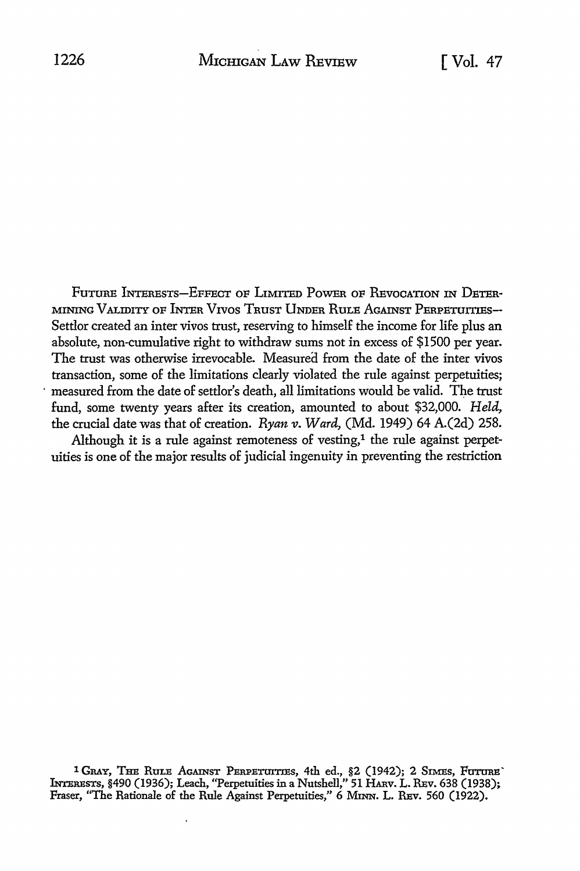FuTURE INTERESTS-EFFECT OF LIMITED PoWER OF REvocATION IN DETER· MINING VALIDITY OF INTER VIVOS TRUST UNDER RULE AGAINST PERPETUITIES-Settlor created an inter vivos trust, reserving to himself the income for life plus an absolute, non-cumulative right to withdraw sums not in excess of \$1500 per year. The trust was otherwise irrevocable. Measured from the date of the inter vivos transaction, some of the limitations clearly violated the rule against perpetuities; measured from the date of settlor's death, all limitations would be valid. The trust fund, some twenty years after its creation, amounted to about \$32,000. *Held,*  the crucial date was that of creation. *Ryan v. Ward,* (Md. 1949) 64 A.(2d) 258.

Although it is a rule against remoteness of vesting, $<sup>1</sup>$  the rule against perpet-</sup> uities is one of the major results of judicial ingenuity in preventing the restriction

<sup>1</sup> Gray, The Rule Against Perpetuities, 4th ed., §2 (1942); 2 Simes, Future` INTERBsTs, §490 (1936); Leach, "Perpetuities in a Nutshell," 51 HARv. L. REv. 638 (1938); Fraser, "The Rationale of the Rule Against Perpetuities," 6 MINN. L. REv. 560 (1922).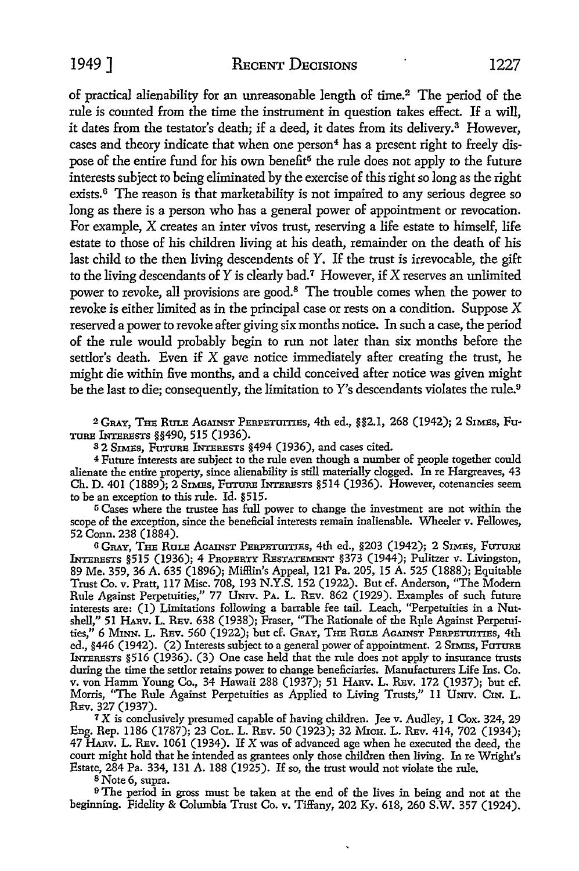1949 ] RECENT DECISIONS 1227

of practical alienability for an unreasonable length of time.<sup>2</sup> The period of the rule is counted from the time the instrument in question takes effect. If a will, it dates from the testator's death; if a deed, it dates from its delivery.<sup>3</sup> However, cases and theory indicate that when one person<sup>4</sup> has a present right to freely dispose of the entire fund for his own benefit<sup>5</sup> the rule does not apply to the future interests subject to being eliminated by the exercise of this right so long as the right exists.<sup>6</sup> The reason is that marketability is not impaired to any serious degree so long as there is a person who has a general power of appointment or revocation. For example, X creates an inter vivos trust, reserving a life estate to himself, life estate to those of his children living at his death, remainder on the death of his last child *to* the then living descendents of *Y.* If the trust is irrevocable, the gift to the living descendants of  $Y$  is clearly bad.<sup>7</sup> However, if  $X$  reserves an unlimited power to revoke, all provisions are good.<sup>8</sup> The trouble comes when the power to revoke is either limited as in the principal case or rests on a condition. Suppose X reserved a power to revoke after giving six months notice. In such a case, the period of the rule would probably begin *to* run not later than six months before the settlor's death. Even if  $X$  gave notice immediately after creating the trust, he might die within five months, and a child conceived after notice was given might be the last to die; consequently, the limitation to *Y's* descendants violates the rule.<sup>9</sup>

2 GRAY, THE RULE AGAINST PERPETUl'I'IES, 4th ed., §§2.l, 268 (1942); 2 SIMES, Fu-TURE lNrERESTS §§490, 515 (1936).

3 2 SIMEs, FUTURE lNrERESTs §494 (1936), and cases cited.

4 Future intexests are subject to the rule even though a numbex of people together could alienate the entire property, since alienability is still materially clogged. In re Hargreaves, 43 Ch. D. 401 (1889); 2 SIMES, FuTURE lNrEREsTs §514 (1936). However, cotenancies seem to be an exception to this rule. Id. §515.

ti Cases where the trustee has full power to change the investment are not within the scope of the exception, since the beneficial interests remain inalienable. Wheeler v. Fellowes, 52 Conn. 238 (1884).

6 GRAY, THE RuLE AGAINST PERPETUITIES, 4th ed., §203 (1942); 2 SIMEs, FUTURE lNrEREsTs §515 (1936); 4 PROPERTY REsTATEMENT §373 (1944); Pulitzex v. Livingston, 89 Me. 359, 36 A. 635 (1896); MilHin's Appeal, 121 Pa. 205, 15 A. 525 (1888); Equitable Trust Co. v. Pratt, 117 Misc. 708, 193 N.Y.S. 152 (1922). But cf. Anderson, "The Modexn Rule Against Pexpetuities," 77 UNIV. PA. L. REv. 862 (1929). Examples of such future intexests are: (1) Limitations following a barrable fee tail. Leach, ''Perpetuities in a Nutshell," 51 HARv. L. REv. 638 (1938); Fraser, "The Rationale of the Rµle Against Pexpetuities," 6 MINN. L. REv. 560 (1922); but cf. GRAY, THE RULE AGAINST PERPETUITIES, 4th ed., §446 (1942). (2) Interests subject to a general power of appointment. 2 SIMES, FUTURE lNrEREsTs §516 (1936). (3) One case held that the rule does not apply to insurance trusts during the time the settlor retains powex to change beneficiaries. Manufacturers Life Ins. Co. v. von Hamm Young Co., 34 Hawaii 288 (1937); 51 HARV. L. REv. 172 (1937); but cf. Morris, "The Rule Against Perpetuities as Applied to Living Trusts," 11 UNIV. CIN. L. REv. 327 (1937).

<sup>7</sup>X is conclusively presumed capable of having children. Jee v. Audley, I Cox. 324, 29 Eng. Rep. 1186 (1787); 23 CoL. L. REv. 50 (1923); 32 MICH. L. REv. 414, 702 (1934); 47 HARv. L. REv. 1061 (1934). If X was of advanced age when he executed the deed, the court might hold that he intended as grantees ouly those children then living. In re Wright's Estate, 284 Pa. 334, 131 A. 188 (1925). If so, the trust would not violate the rule.

8 Note 6, supra.

<sup>9</sup>The period in gross must be taken at the end of the lives in being and not at the beginning. Fidelity & Columbia Trust Co. v. Tiffany, 202 Ky. 618, 260 S.W. 357 (1924).